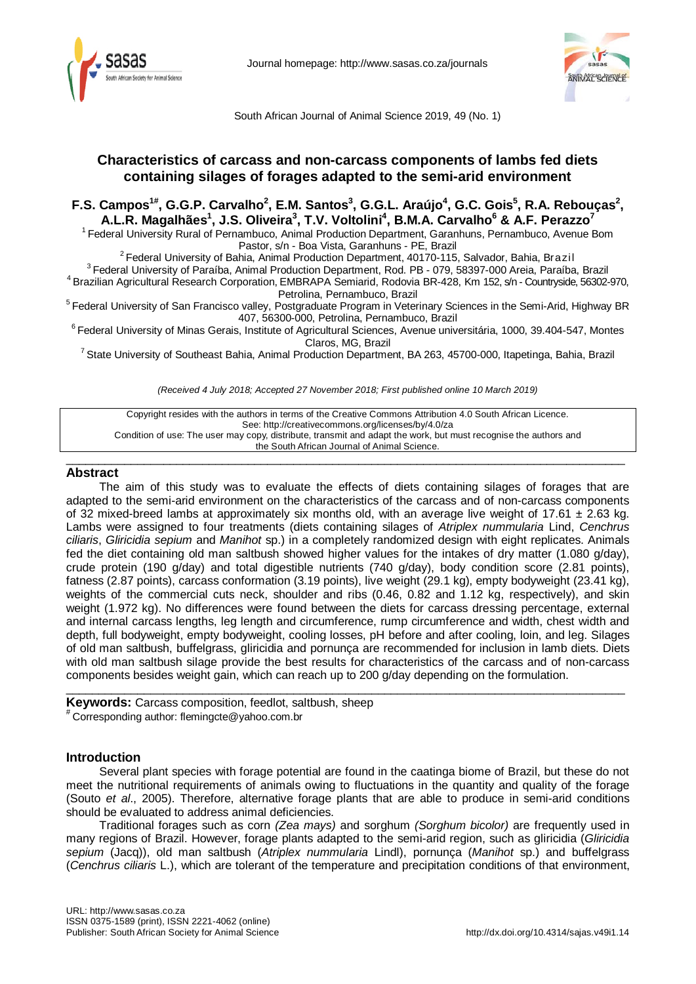

Journal homepage:<http://www.sasas.co.za/journals>



South African Journal of Animal Science 2019, 49 (No. 1)

# **Characteristics of carcass and non-carcass components of lambs fed diets containing silages of forages adapted to the semi-arid environment**

# **F.S. Campos<sup>1#</sup>, G.G.P. Carvalho<sup>2</sup>, E.M. Santos<sup>3</sup>, G.G.L. Araújo<sup>4</sup>, G.C. Gois<sup>5</sup>, R.A. Rebouças<sup>2</sup>, A.L.R. Magalhães1 , J.S. Oliveira<sup>3</sup> , T.V. Voltolini4 , B.M.A. Carvalho6 & A.F. Perazzo7**

<sup>1</sup> Federal University Rural of Pernambuco, Animal Production Department, Garanhuns, Pernambuco, Avenue Bom<br>Pastor, s/n - Boa Vista, Garanhuns - PE, Brazil

<sup>2</sup> Federal University of Bahia, Animal Production Department, 40170-115, Salvador, Bahia, Brazil<sup>3</sup><br>Federal University of Paraíba, Animal Production Department, Rod. PB - 079, 58397-000 Areia, Paraíba, Brazil<sup>4</sup><br>Brazilian

<sup>5</sup> Federal University of San Francisco valley, Postgraduate Program in Veterinary Sciences in the Semi-Arid, Highway BR<br>407, 56300-000, Petrolina, Pernambuco, Brazil

 $6$  Federal University of Minas Gerais, Institute of Agricultural Sciences, Avenue universitária, 1000, 39.404-547, Montes<br>Claros, MG, Brazil

<sup>7</sup> State University of Southeast Bahia, Animal Production Department, BA 263, 45700-000, Itapetinga, Bahia, Brazil

*(Received 4 July 2018; Accepted 27 November 2018; First published online 10 March 2019)*

Copyright resides with the authors in terms of the Creative Commons Attribution 4.0 South African Licence. See: http://creativecommons.org/licenses/by/4.0/za Condition of use: The user may copy, distribute, transmit and adapt the work, but must recognise the authors and the South African Journal of Animal Science.

 $\_$  ,  $\_$  ,  $\_$  ,  $\_$  ,  $\_$  ,  $\_$  ,  $\_$  ,  $\_$  ,  $\_$  ,  $\_$  ,  $\_$  ,  $\_$  ,  $\_$  ,  $\_$  ,  $\_$  ,  $\_$  ,  $\_$  ,  $\_$  ,  $\_$  ,  $\_$  ,  $\_$  ,  $\_$  ,  $\_$  ,  $\_$  ,  $\_$  ,  $\_$  ,  $\_$  ,  $\_$  ,  $\_$  ,  $\_$  ,  $\_$  ,  $\_$  ,  $\_$  ,  $\_$  ,  $\_$  ,  $\_$  ,  $\_$  ,

## **Abstract**

The aim of this study was to evaluate the effects of diets containing silages of forages that are adapted to the semi-arid environment on the characteristics of the carcass and of non-carcass components of 32 mixed-breed lambs at approximately six months old, with an average live weight of 17.61  $\pm$  2.63 kg. Lambs were assigned to four treatments (diets containing silages of *Atriplex nummularia* Lind, *Cenchrus ciliaris*, *Gliricidia sepium* and *Manihot* sp.) in a completely randomized design with eight replicates. Animals fed the diet containing old man saltbush showed higher values for the intakes of dry matter (1.080 g/day), crude protein (190 g/day) and total digestible nutrients (740 g/day), body condition score (2.81 points), fatness (2.87 points), carcass conformation (3.19 points), live weight (29.1 kg), empty bodyweight (23.41 kg), weights of the commercial cuts neck, shoulder and ribs (0.46, 0.82 and 1.12 kg, respectively), and skin weight (1.972 kg). No differences were found between the diets for carcass dressing percentage, external and internal carcass lengths, leg length and circumference, rump circumference and width, chest width and depth, full bodyweight, empty bodyweight, cooling losses, pH before and after cooling, loin, and leg. Silages of old man saltbush, buffelgrass, gliricidia and pornunça are recommended for inclusion in lamb diets. Diets with old man saltbush silage provide the best results for characteristics of the carcass and of non-carcass components besides weight gain, which can reach up to 200 g/day depending on the formulation.

**Keywords:** Carcass composition, feedlot, saltbush, sheep # Corresponding author: flemingcte@yahoo.com.br

## **Introduction**

Several plant species with forage potential are found in the caatinga biome of Brazil, but these do not meet the nutritional requirements of animals owing to fluctuations in the quantity and quality of the forage (Souto *et al*., 2005). Therefore, alternative forage plants that are able to produce in semi-arid conditions should be evaluated to address animal deficiencies.

 $\_$  ,  $\_$  ,  $\_$  ,  $\_$  ,  $\_$  ,  $\_$  ,  $\_$  ,  $\_$  ,  $\_$  ,  $\_$  ,  $\_$  ,  $\_$  ,  $\_$  ,  $\_$  ,  $\_$  ,  $\_$  ,  $\_$  ,  $\_$  ,  $\_$  ,  $\_$  ,  $\_$  ,  $\_$  ,  $\_$  ,  $\_$  ,  $\_$  ,  $\_$  ,  $\_$  ,  $\_$  ,  $\_$  ,  $\_$  ,  $\_$  ,  $\_$  ,  $\_$  ,  $\_$  ,  $\_$  ,  $\_$  ,  $\_$  ,

Traditional forages such as corn *(Zea mays)* and sorghum *(Sorghum bicolor)* are frequently used in many regions of Brazil. However, forage plants adapted to the semi-arid region, such as gliricidia (*Gliricidia sepium* (Jacq)), old man saltbush (*Atriplex nummularia* Lindl), pornunça (*Manihot* sp.) and buffelgrass (*Cenchrus ciliaris* L.), which are tolerant of the temperature and precipitation conditions of that environment,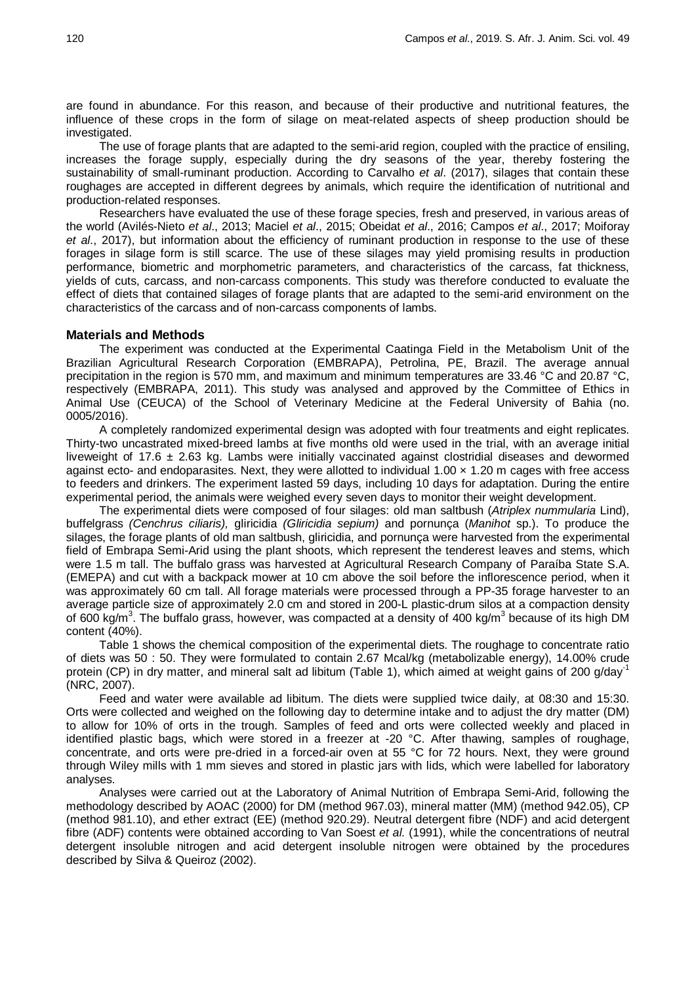are found in abundance. For this reason, and because of their productive and nutritional features, the influence of these crops in the form of silage on meat-related aspects of sheep production should be investigated.

The use of forage plants that are adapted to the semi-arid region, coupled with the practice of ensiling, increases the forage supply, especially during the dry seasons of the year, thereby fostering the sustainability of small-ruminant production. According to Carvalho *et al*. (2017), silages that contain these roughages are accepted in different degrees by animals, which require the identification of nutritional and production-related responses.

Researchers have evaluated the use of these forage species, fresh and preserved, in various areas of the world (Avilés-Nieto *et al*., 2013; Maciel *et al*., 2015; Obeidat *et al*., 2016; Campos *et al*., 2017; Moiforay *et al*., 2017), but information about the efficiency of ruminant production in response to the use of these forages in silage form is still scarce. The use of these silages may yield promising results in production performance, biometric and morphometric parameters, and characteristics of the carcass, fat thickness, yields of cuts, carcass, and non-carcass components. This study was therefore conducted to evaluate the effect of diets that contained silages of forage plants that are adapted to the semi-arid environment on the characteristics of the carcass and of non-carcass components of lambs.

### **Materials and Methods**

The experiment was conducted at the Experimental Caatinga Field in the Metabolism Unit of the Brazilian Agricultural Research Corporation (EMBRAPA), Petrolina, PE, Brazil. The average annual precipitation in the region is 570 mm, and maximum and minimum temperatures are 33.46 °C and 20.87 °C, respectively (EMBRAPA, 2011). This study was analysed and approved by the Committee of Ethics in Animal Use (CEUCA) of the School of Veterinary Medicine at the Federal University of Bahia (no. 0005/2016).

A completely randomized experimental design was adopted with four treatments and eight replicates. Thirty-two uncastrated mixed-breed lambs at five months old were used in the trial, with an average initial liveweight of 17.6  $\pm$  2.63 kg. Lambs were initially vaccinated against clostridial diseases and dewormed against ecto- and endoparasites. Next, they were allotted to individual  $1.00 \times 1.20$  m cages with free access to feeders and drinkers. The experiment lasted 59 days, including 10 days for adaptation. During the entire experimental period, the animals were weighed every seven days to monitor their weight development.

The experimental diets were composed of four silages: old man saltbush (*Atriplex nummularia* Lind), buffelgrass *(Cenchrus ciliaris),* gliricidia *(Gliricidia sepium)* and pornunça (*Manihot* sp.). To produce the silages, the forage plants of old man saltbush, gliricidia, and pornunça were harvested from the experimental field of Embrapa Semi-Arid using the plant shoots, which represent the tenderest leaves and stems, which were 1.5 m tall. The buffalo grass was harvested at Agricultural Research Company of Paraíba State S.A. (EMEPA) and cut with a backpack mower at 10 cm above the soil before the inflorescence period, when it was approximately 60 cm tall. All forage materials were processed through a PP-35 forage harvester to an average particle size of approximately 2.0 cm and stored in 200-L plastic-drum silos at a compaction density of 600 kg/m<sup>3</sup>. The buffalo grass, however, was compacted at a density of 400 kg/m<sup>3</sup> because of its high DM content (40%).

Table 1 shows the chemical composition of the experimental diets. The roughage to concentrate ratio of diets was 50 : 50. They were formulated to contain 2.67 Mcal/kg (metabolizable energy), 14.00% crude protein (CP) in dry matter, and mineral salt ad libitum (Table 1), which aimed at weight gains of 200 g/day<sup>-1</sup> (NRC, 2007).

Feed and water were available ad libitum. The diets were supplied twice daily, at 08:30 and 15:30. Orts were collected and weighed on the following day to determine intake and to adjust the dry matter (DM) to allow for 10% of orts in the trough. Samples of feed and orts were collected weekly and placed in identified plastic bags, which were stored in a freezer at -20 °C. After thawing, samples of roughage, concentrate, and orts were pre-dried in a forced-air oven at 55 °C for 72 hours. Next, they were ground through Wiley mills with 1 mm sieves and stored in plastic jars with lids, which were labelled for laboratory analyses.

Analyses were carried out at the Laboratory of Animal Nutrition of Embrapa Semi-Arid, following the methodology described by AOAC (2000) for DM (method 967.03), mineral matter (MM) (method 942.05), CP (method 981.10), and ether extract (EE) (method 920.29). Neutral detergent fibre (NDF) and acid detergent fibre (ADF) contents were obtained according to Van Soest *et al.* (1991), while the concentrations of neutral detergent insoluble nitrogen and acid detergent insoluble nitrogen were obtained by the procedures described by Silva & Queiroz (2002).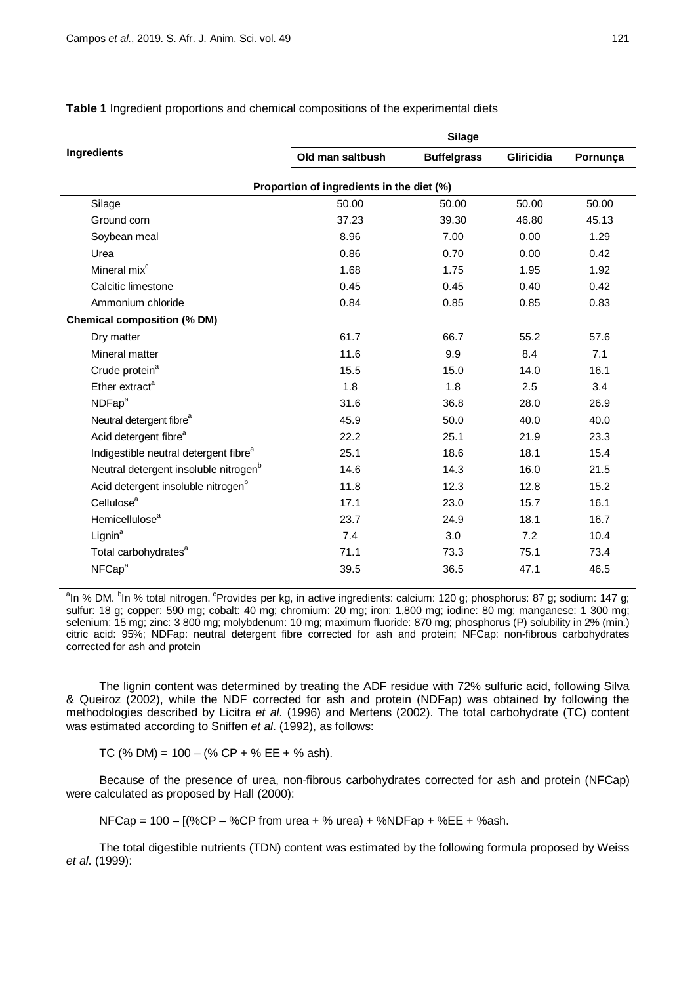|                                                   | <b>Silage</b>    |                    |                   |          |  |  |  |
|---------------------------------------------------|------------------|--------------------|-------------------|----------|--|--|--|
| Ingredients                                       | Old man saltbush | <b>Buffelgrass</b> | <b>Gliricidia</b> | Pornunça |  |  |  |
| Proportion of ingredients in the diet (%)         |                  |                    |                   |          |  |  |  |
| Silage                                            | 50.00            | 50.00              | 50.00             | 50.00    |  |  |  |
| Ground corn                                       | 37.23            | 39.30              | 46.80             | 45.13    |  |  |  |
| Soybean meal                                      | 8.96             | 7.00               | 0.00              | 1.29     |  |  |  |
| Urea                                              | 0.86             | 0.70               | 0.00              | 0.42     |  |  |  |
| Mineral mix <sup>c</sup>                          | 1.68             | 1.75               | 1.95              | 1.92     |  |  |  |
| Calcitic limestone                                | 0.45             | 0.45               | 0.40              | 0.42     |  |  |  |
| Ammonium chloride                                 | 0.84             | 0.85               | 0.85              | 0.83     |  |  |  |
| <b>Chemical composition (% DM)</b>                |                  |                    |                   |          |  |  |  |
| Dry matter                                        | 61.7             | 66.7               | 55.2              | 57.6     |  |  |  |
| Mineral matter                                    | 11.6             | 9.9                | 8.4               | 7.1      |  |  |  |
| Crude protein <sup>a</sup>                        | 15.5             | 15.0               | 14.0              | 16.1     |  |  |  |
| Ether extract <sup>a</sup>                        | 1.8              | 1.8                | 2.5               | 3.4      |  |  |  |
| NDFap <sup>a</sup>                                | 31.6             | 36.8               | 28.0              | 26.9     |  |  |  |
| Neutral detergent fibre <sup>a</sup>              | 45.9             | 50.0               | 40.0              | 40.0     |  |  |  |
| Acid detergent fibre <sup>a</sup>                 | 22.2             | 25.1               | 21.9              | 23.3     |  |  |  |
| Indigestible neutral detergent fibre <sup>a</sup> | 25.1             | 18.6               | 18.1              | 15.4     |  |  |  |
| Neutral detergent insoluble nitrogen <sup>b</sup> | 14.6             | 14.3               | 16.0              | 21.5     |  |  |  |
| Acid detergent insoluble nitrogen <sup>b</sup>    | 11.8             | 12.3               | 12.8              | 15.2     |  |  |  |
| Cellulose <sup>a</sup>                            | 17.1             | 23.0               | 15.7              | 16.1     |  |  |  |
| Hemicellulose <sup>a</sup>                        | 23.7             | 24.9               | 18.1              | 16.7     |  |  |  |
| Lignin <sup>a</sup>                               | 7.4              | 3.0                | 7.2               | 10.4     |  |  |  |
| Total carbohydrates <sup>a</sup>                  | 71.1             | 73.3               | 75.1              | 73.4     |  |  |  |
| NFCap <sup>a</sup>                                | 39.5             | 36.5               | 47.1              | 46.5     |  |  |  |

**Table 1** Ingredient proportions and chemical compositions of the experimental diets

<sup>a</sup>ln % DM. <sup>b</sup>ln % total nitrogen. <sup>c</sup>Provides per kg, in active ingredients: calcium: 120 g; phosphorus: 87 g; sodium: 147 g; sulfur: 18 g; copper: 590 mg; cobalt: 40 mg; chromium: 20 mg; iron: 1,800 mg; iodine: 80 mg; manganese: 1 300 mg; selenium: 15 mg; zinc: 3 800 mg; molybdenum: 10 mg; maximum fluoride: 870 mg; phosphorus (P) solubility in 2% (min.) citric acid: 95%; NDFap: neutral detergent fibre corrected for ash and protein; NFCap: non-fibrous carbohydrates corrected for ash and protein

The lignin content was determined by treating the ADF residue with 72% sulfuric acid, following Silva & Queiroz (2002), while the NDF corrected for ash and protein (NDFap) was obtained by following the methodologies described by Licitra *et al*. (1996) and Mertens (2002). The total carbohydrate (TC) content was estimated according to Sniffen *et al*. (1992), as follows:

TC (% DM) =  $100 - (% CP + % EE + % ask)$ .

Because of the presence of urea, non-fibrous carbohydrates corrected for ash and protein (NFCap) were calculated as proposed by Hall (2000):

 $NFCap = 100 - [(%CP - %CP from urea + % urea) + %NDFap + %EE + %ash.$ 

The total digestible nutrients (TDN) content was estimated by the following formula proposed by Weiss *et al*. (1999):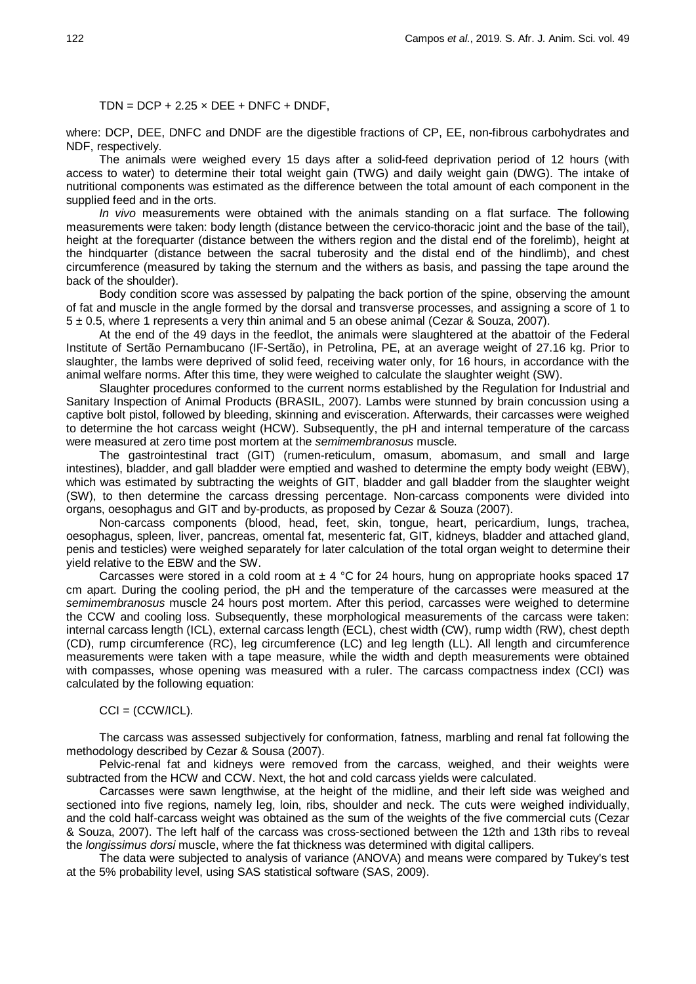### $TDN = DCP + 2.25 \times DEE + DNFC + DNDF$ .

where: DCP, DEE, DNFC and DNDF are the digestible fractions of CP, EE, non-fibrous carbohydrates and NDF, respectively.

The animals were weighed every 15 days after a solid-feed deprivation period of 12 hours (with access to water) to determine their total weight gain (TWG) and daily weight gain (DWG). The intake of nutritional components was estimated as the difference between the total amount of each component in the supplied feed and in the orts.

*In vivo* measurements were obtained with the animals standing on a flat surface. The following measurements were taken: body length (distance between the cervico-thoracic joint and the base of the tail), height at the forequarter (distance between the withers region and the distal end of the forelimb), height at the hindquarter (distance between the sacral tuberosity and the distal end of the hindlimb), and chest circumference (measured by taking the sternum and the withers as basis, and passing the tape around the back of the shoulder).

Body condition score was assessed by palpating the back portion of the spine, observing the amount of fat and muscle in the angle formed by the dorsal and transverse processes, and assigning a score of 1 to 5 ± 0.5, where 1 represents a very thin animal and 5 an obese animal (Cezar & Souza, 2007).

At the end of the 49 days in the feedlot, the animals were slaughtered at the abattoir of the Federal Institute of Sertão Pernambucano (IF-Sertão), in Petrolina, PE, at an average weight of 27.16 kg. Prior to slaughter, the lambs were deprived of solid feed, receiving water only, for 16 hours, in accordance with the animal welfare norms. After this time, they were weighed to calculate the slaughter weight (SW).

Slaughter procedures conformed to the current norms established by the Regulation for Industrial and Sanitary Inspection of Animal Products (BRASIL, 2007). Lambs were stunned by brain concussion using a captive bolt pistol, followed by bleeding, skinning and evisceration. Afterwards, their carcasses were weighed to determine the hot carcass weight (HCW). Subsequently, the pH and internal temperature of the carcass were measured at zero time post mortem at the *semimembranosus* muscle.

The gastrointestinal tract (GIT) (rumen-reticulum, omasum, abomasum, and small and large intestines), bladder, and gall bladder were emptied and washed to determine the empty body weight (EBW), which was estimated by subtracting the weights of GIT, bladder and gall bladder from the slaughter weight (SW), to then determine the carcass dressing percentage. Non-carcass components were divided into organs, oesophagus and GIT and by-products, as proposed by Cezar & Souza (2007).

Non-carcass components (blood, head, feet, skin, tongue, heart, pericardium, lungs, trachea, oesophagus, spleen, liver, pancreas, omental fat, mesenteric fat, GIT, kidneys, bladder and attached gland, penis and testicles) were weighed separately for later calculation of the total organ weight to determine their yield relative to the EBW and the SW.

Carcasses were stored in a cold room at  $\pm 4$  °C for 24 hours, hung on appropriate hooks spaced 17 cm apart. During the cooling period, the pH and the temperature of the carcasses were measured at the *semimembranosus* muscle 24 hours post mortem. After this period, carcasses were weighed to determine the CCW and cooling loss. Subsequently, these morphological measurements of the carcass were taken: internal carcass length (ICL), external carcass length (ECL), chest width (CW), rump width (RW), chest depth (CD), rump circumference (RC), leg circumference (LC) and leg length (LL). All length and circumference measurements were taken with a tape measure, while the width and depth measurements were obtained with compasses, whose opening was measured with a ruler. The carcass compactness index (CCI) was calculated by the following equation:

#### $CCI = (CCW/ICL).$

The carcass was assessed subjectively for conformation, fatness, marbling and renal fat following the methodology described by Cezar & Sousa (2007).

Pelvic-renal fat and kidneys were removed from the carcass, weighed, and their weights were subtracted from the HCW and CCW. Next, the hot and cold carcass yields were calculated.

Carcasses were sawn lengthwise, at the height of the midline, and their left side was weighed and sectioned into five regions, namely leg, loin, ribs, shoulder and neck. The cuts were weighed individually, and the cold half-carcass weight was obtained as the sum of the weights of the five commercial cuts (Cezar & Souza, 2007). The left half of the carcass was cross-sectioned between the 12th and 13th ribs to reveal the *longissimus dorsi* muscle, where the fat thickness was determined with digital callipers.

The data were subjected to analysis of variance (ANOVA) and means were compared by Tukey's test at the 5% probability level, using SAS statistical software (SAS, 2009).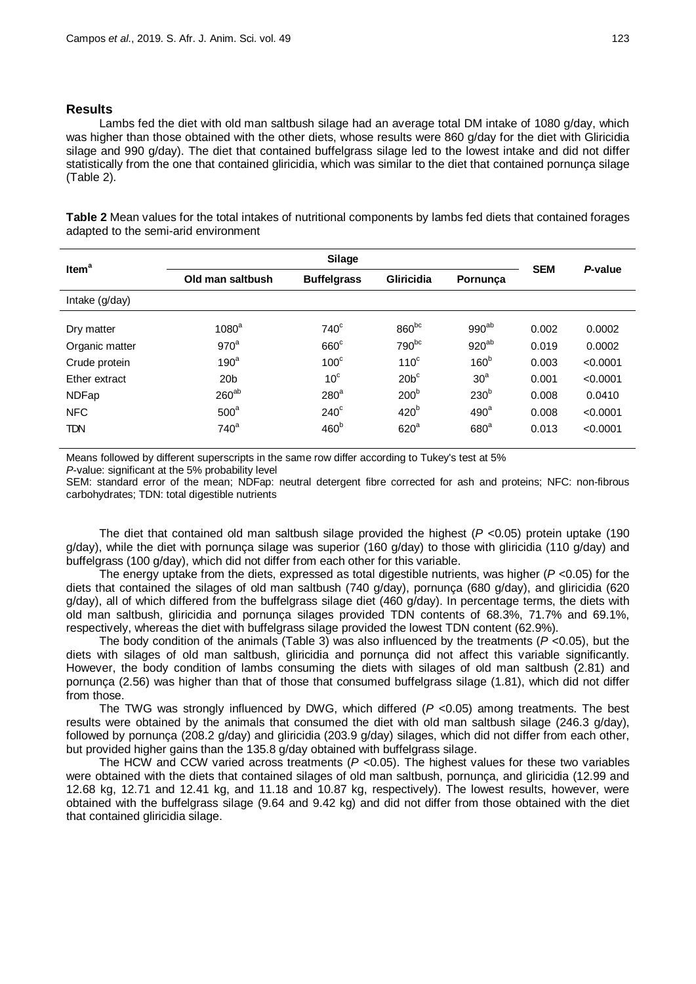## **Results**

Lambs fed the diet with old man saltbush silage had an average total DM intake of 1080 g/day, which was higher than those obtained with the other diets, whose results were 860 g/day for the diet with Gliricidia silage and 990 g/day). The diet that contained buffelgrass silage led to the lowest intake and did not differ statistically from the one that contained gliricidia, which was similar to the diet that contained pornunça silage (Table 2).

**Table 2** Mean values for the total intakes of nutritional components by lambs fed diets that contained forages adapted to the semi-arid environment

| Item <sup>a</sup> | <b>Silage</b>     |                    |                   |                  |            |          |
|-------------------|-------------------|--------------------|-------------------|------------------|------------|----------|
|                   | Old man saltbush  | <b>Buffelgrass</b> | <b>Gliricidia</b> | Pornunça         | <b>SEM</b> | P-value  |
| Intake (g/day)    |                   |                    |                   |                  |            |          |
| Dry matter        | 1080 <sup>a</sup> | $740^\circ$        | $860^{bc}$        | $990^{ab}$       | 0.002      | 0.0002   |
| Organic matter    | 970 <sup>a</sup>  | $660^\circ$        | 790 <sup>bc</sup> | $920^{ab}$       | 0.019      | 0.0002   |
| Crude protein     | 190 <sup>a</sup>  | 100 <sup>c</sup>   | 110 <sup>c</sup>  | 160 <sup>b</sup> | 0.003      | < 0.0001 |
| Ether extract     | 20 <sub>b</sub>   | 10 <sup>c</sup>    | $20b^c$           | 30 <sup>a</sup>  | 0.001      | < 0.0001 |
| <b>NDFap</b>      | $260^{ab}$        | 280 <sup>a</sup>   | 200 <sup>b</sup>  | 230 <sup>b</sup> | 0.008      | 0.0410   |
| <b>NFC</b>        | 500 <sup>a</sup>  | $240^\circ$        | 420 <sup>b</sup>  | 490 <sup>a</sup> | 0.008      | < 0.0001 |
| <b>TDN</b>        | $740^a$           | 460 <sup>b</sup>   | 620 <sup>a</sup>  | 680 <sup>a</sup> | 0.013      | < 0.0001 |

Means followed by different superscripts in the same row differ according to Tukey's test at 5%

*P*-value: significant at the 5% probability level

SEM: standard error of the mean; NDFap: neutral detergent fibre corrected for ash and proteins; NFC: non-fibrous carbohydrates; TDN: total digestible nutrients

The diet that contained old man saltbush silage provided the highest (*P* <0.05) protein uptake (190 g/day), while the diet with pornunça silage was superior (160 g/day) to those with gliricidia (110 g/day) and buffelgrass (100 g/day), which did not differ from each other for this variable.

The energy uptake from the diets, expressed as total digestible nutrients, was higher (*P* <0.05) for the diets that contained the silages of old man saltbush (740 g/day), pornunça (680 g/day), and gliricidia (620 g/day), all of which differed from the buffelgrass silage diet (460 g/day). In percentage terms, the diets with old man saltbush, gliricidia and pornunça silages provided TDN contents of 68.3%, 71.7% and 69.1%, respectively, whereas the diet with buffelgrass silage provided the lowest TDN content (62.9%).

The body condition of the animals (Table 3) was also influenced by the treatments ( $P$  <0.05), but the diets with silages of old man saltbush, gliricidia and pornunça did not affect this variable significantly. However, the body condition of lambs consuming the diets with silages of old man saltbush (2.81) and pornunça (2.56) was higher than that of those that consumed buffelgrass silage (1.81), which did not differ from those.

The TWG was strongly influenced by DWG, which differed (*P* <0.05) among treatments. The best results were obtained by the animals that consumed the diet with old man saltbush silage (246.3 g/day), followed by pornunça (208.2 g/day) and gliricidia (203.9 g/day) silages, which did not differ from each other, but provided higher gains than the 135.8 g/day obtained with buffelgrass silage.

The HCW and CCW varied across treatments (*P* <0.05). The highest values for these two variables were obtained with the diets that contained silages of old man saltbush, pornunça, and gliricidia (12.99 and 12.68 kg, 12.71 and 12.41 kg, and 11.18 and 10.87 kg, respectively). The lowest results, however, were obtained with the buffelgrass silage (9.64 and 9.42 kg) and did not differ from those obtained with the diet that contained gliricidia silage.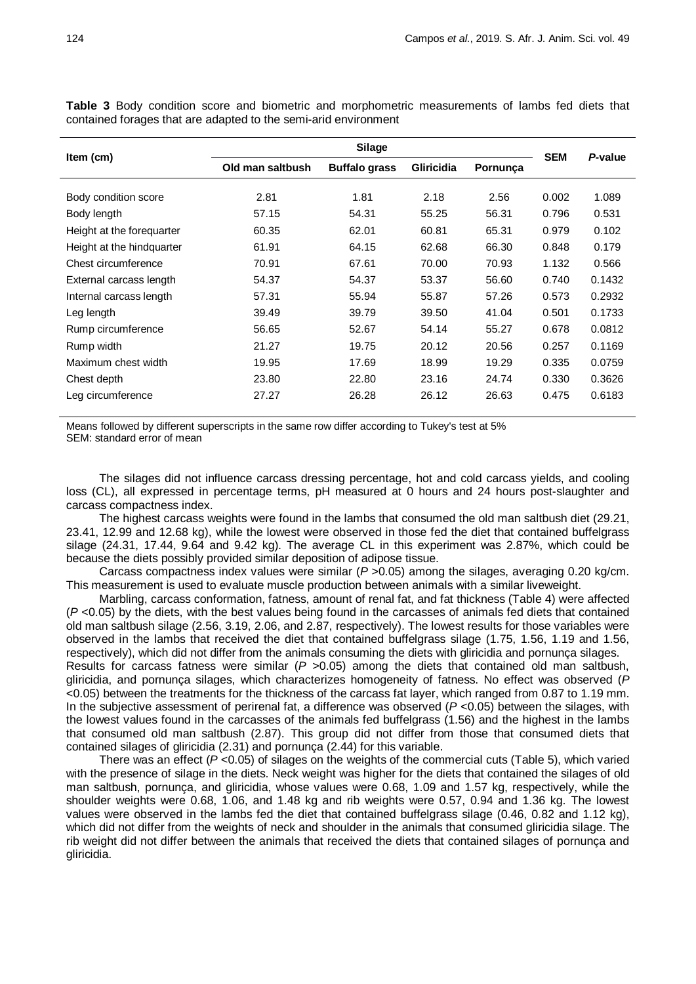| Item (cm)                 |                  |                      |                   |          |            |         |
|---------------------------|------------------|----------------------|-------------------|----------|------------|---------|
|                           | Old man saltbush | <b>Buffalo grass</b> | <b>Gliricidia</b> | Pornunça | <b>SEM</b> | P-value |
| Body condition score      | 2.81             | 1.81                 | 2.18              | 2.56     | 0.002      | 1.089   |
| Body length               | 57.15            | 54.31                | 55.25             | 56.31    | 0.796      | 0.531   |
| Height at the forequarter | 60.35            | 62.01                | 60.81             | 65.31    | 0.979      | 0.102   |
| Height at the hindquarter | 61.91            | 64.15                | 62.68             | 66.30    | 0.848      | 0.179   |
| Chest circumference       | 70.91            | 67.61                | 70.00             | 70.93    | 1.132      | 0.566   |
| External carcass length   | 54.37            | 54.37                | 53.37             | 56.60    | 0.740      | 0.1432  |
| Internal carcass length   | 57.31            | 55.94                | 55.87             | 57.26    | 0.573      | 0.2932  |
| Leg length                | 39.49            | 39.79                | 39.50             | 41.04    | 0.501      | 0.1733  |
| Rump circumference        | 56.65            | 52.67                | 54.14             | 55.27    | 0.678      | 0.0812  |
| Rump width                | 21.27            | 19.75                | 20.12             | 20.56    | 0.257      | 0.1169  |
| Maximum chest width       | 19.95            | 17.69                | 18.99             | 19.29    | 0.335      | 0.0759  |
| Chest depth               | 23.80            | 22.80                | 23.16             | 24.74    | 0.330      | 0.3626  |
| Leg circumference         | 27.27            | 26.28                | 26.12             | 26.63    | 0.475      | 0.6183  |

**Table 3** Body condition score and biometric and morphometric measurements of lambs fed diets that contained forages that are adapted to the semi-arid environment

Means followed by different superscripts in the same row differ according to Tukey's test at 5% SEM: standard error of mean

The silages did not influence carcass dressing percentage, hot and cold carcass yields, and cooling loss (CL), all expressed in percentage terms, pH measured at 0 hours and 24 hours post-slaughter and carcass compactness index.

The highest carcass weights were found in the lambs that consumed the old man saltbush diet (29.21, 23.41, 12.99 and 12.68 kg), while the lowest were observed in those fed the diet that contained buffelgrass silage (24.31, 17.44, 9.64 and 9.42 kg). The average CL in this experiment was 2.87%, which could be because the diets possibly provided similar deposition of adipose tissue.

Carcass compactness index values were similar (*P* >0.05) among the silages, averaging 0.20 kg/cm. This measurement is used to evaluate muscle production between animals with a similar liveweight.

Marbling, carcass conformation, fatness, amount of renal fat, and fat thickness (Table 4) were affected (*P* <0.05) by the diets, with the best values being found in the carcasses of animals fed diets that contained old man saltbush silage (2.56, 3.19, 2.06, and 2.87, respectively). The lowest results for those variables were observed in the lambs that received the diet that contained buffelgrass silage (1.75, 1.56, 1.19 and 1.56, respectively), which did not differ from the animals consuming the diets with gliricidia and pornunça silages. Results for carcass fatness were similar (*P* >0.05) among the diets that contained old man saltbush, gliricidia, and pornunça silages, which characterizes homogeneity of fatness. No effect was observed (*P* <0.05) between the treatments for the thickness of the carcass fat layer, which ranged from 0.87 to 1.19 mm. In the subjective assessment of perirenal fat, a difference was observed ( $P$  <0.05) between the silages, with the lowest values found in the carcasses of the animals fed buffelgrass (1.56) and the highest in the lambs that consumed old man saltbush (2.87). This group did not differ from those that consumed diets that contained silages of gliricidia (2.31) and pornunça (2.44) for this variable.

There was an effect ( $P < 0.05$ ) of silages on the weights of the commercial cuts (Table 5), which varied with the presence of silage in the diets. Neck weight was higher for the diets that contained the silages of old man saltbush, pornunça, and gliricidia, whose values were 0.68, 1.09 and 1.57 kg, respectively, while the shoulder weights were 0.68, 1.06, and 1.48 kg and rib weights were 0.57, 0.94 and 1.36 kg. The lowest values were observed in the lambs fed the diet that contained buffelgrass silage (0.46, 0.82 and 1.12 kg), which did not differ from the weights of neck and shoulder in the animals that consumed gliricidia silage. The rib weight did not differ between the animals that received the diets that contained silages of pornunça and gliricidia.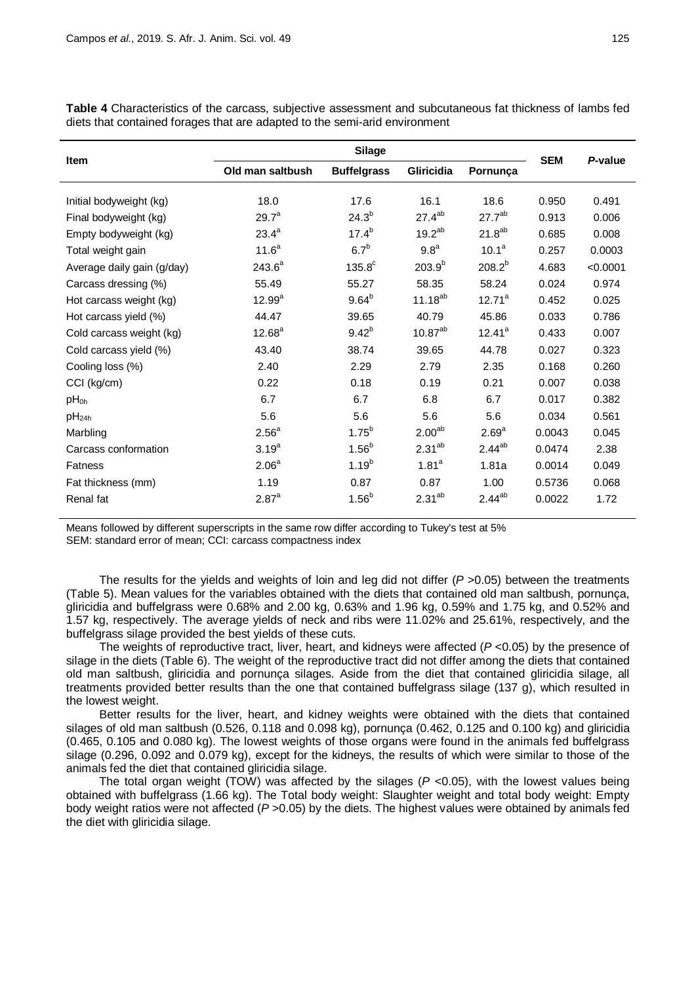|                            | <b>Silage</b>                                        |                  |                    |                    |         |          |
|----------------------------|------------------------------------------------------|------------------|--------------------|--------------------|---------|----------|
| <b>Item</b>                | Gliricidia<br>Old man saltbush<br><b>Buffelgrass</b> |                  | Pornunca           | <b>SEM</b>         | P-value |          |
| Initial bodyweight (kg)    | 18.0                                                 | 17.6             | 16.1               | 18.6               | 0.950   | 0.491    |
| Final bodyweight (kg)      | $29.7^a$                                             | $24.3^{b}$       | $27.4^{ab}$        | 27.7 <sup>ab</sup> | 0.913   | 0.006    |
| Empty bodyweight (kg)      | $23.4^{a}$                                           | $17.4^{b}$       | $19.2^{ab}$        | $21.8^{ab}$        | 0.685   | 0.008    |
| Total weight gain          | $11.6^a$                                             | 6.7 <sup>b</sup> | 9.8 <sup>a</sup>   | $10.1^a$           | 0.257   | 0.0003   |
| Average daily gain (g/day) | $243.6^a$                                            | $135.8^{\circ}$  | $203.9^{b}$        | $208.2^{b}$        | 4.683   | < 0.0001 |
| Carcass dressing (%)       | 55.49                                                | 55.27            | 58.35              | 58.24              | 0.024   | 0.974    |
| Hot carcass weight (kg)    | $12.99^a$                                            | $9.64^{b}$       | $11.18^{ab}$       | $12.71^a$          | 0.452   | 0.025    |
| Hot carcass yield (%)      | 44.47                                                | 39.65            | 40.79              | 45.86              | 0.033   | 0.786    |
| Cold carcass weight (kg)   | $12.68^a$                                            | $9.42^{b}$       | $10.87^{ab}$       | $12.41^a$          | 0.433   | 0.007    |
| Cold carcass yield (%)     | 43.40                                                | 38.74            | 39.65              | 44.78              | 0.027   | 0.323    |
| Cooling loss (%)           | 2.40                                                 | 2.29             | 2.79               | 2.35               | 0.168   | 0.260    |
| CCI (kg/cm)                | 0.22                                                 | 0.18             | 0.19               | 0.21               | 0.007   | 0.038    |
| pH <sub>0h</sub>           | 6.7                                                  | 6.7              | 6.8                | 6.7                | 0.017   | 0.382    |
| pH <sub>24h</sub>          | 5.6                                                  | 5.6              | 5.6                | 5.6                | 0.034   | 0.561    |
| Marbling                   | 2.56 <sup>a</sup>                                    | $1.75^{b}$       | 2.00 <sup>ab</sup> | 2.69 <sup>a</sup>  | 0.0043  | 0.045    |
| Carcass conformation       | $3.19^{a}$                                           | $1.56^{b}$       | $2.31^{ab}$        | $2.44^{ab}$        | 0.0474  | 2.38     |
| <b>Fatness</b>             | 2.06 <sup>a</sup>                                    | $1.19^{b}$       | 1.81 <sup>a</sup>  | 1.81a              | 0.0014  | 0.049    |
| Fat thickness (mm)         | 1.19                                                 | 0.87             | 0.87               | 1.00               | 0.5736  | 0.068    |
| Renal fat                  | 2.87 <sup>a</sup>                                    | $1.56^{b}$       | $2.31^{ab}$        | $2.44^{ab}$        | 0.0022  | 1.72     |

**Table 4** Characteristics of the carcass, subjective assessment and subcutaneous fat thickness of lambs fed diets that contained forages that are adapted to the semi-arid environment

Means followed by different superscripts in the same row differ according to Tukey's test at 5% SEM: standard error of mean; CCI: carcass compactness index

The results for the yields and weights of loin and leg did not differ (*P* >0.05) between the treatments (Table 5). Mean values for the variables obtained with the diets that contained old man saltbush, pornunça, gliricidia and buffelgrass were 0.68% and 2.00 kg, 0.63% and 1.96 kg, 0.59% and 1.75 kg, and 0.52% and 1.57 kg, respectively. The average yields of neck and ribs were 11.02% and 25.61%, respectively, and the buffelgrass silage provided the best yields of these cuts.

The weights of reproductive tract, liver, heart, and kidneys were affected (*P* <0.05) by the presence of silage in the diets (Table 6). The weight of the reproductive tract did not differ among the diets that contained old man saltbush, gliricidia and pornunça silages. Aside from the diet that contained gliricidia silage, all treatments provided better results than the one that contained buffelgrass silage (137 g), which resulted in the lowest weight.

Better results for the liver, heart, and kidney weights were obtained with the diets that contained silages of old man saltbush (0.526, 0.118 and 0.098 kg), pornunça (0.462, 0.125 and 0.100 kg) and gliricidia (0.465, 0.105 and 0.080 kg). The lowest weights of those organs were found in the animals fed buffelgrass silage (0.296, 0.092 and 0.079 kg), except for the kidneys, the results of which were similar to those of the animals fed the diet that contained gliricidia silage.

The total organ weight (TOW) was affected by the silages ( $P$  <0.05), with the lowest values being obtained with buffelgrass (1.66 kg). The Total body weight: Slaughter weight and total body weight: Empty body weight ratios were not affected (*P* >0.05) by the diets. The highest values were obtained by animals fed the diet with gliricidia silage.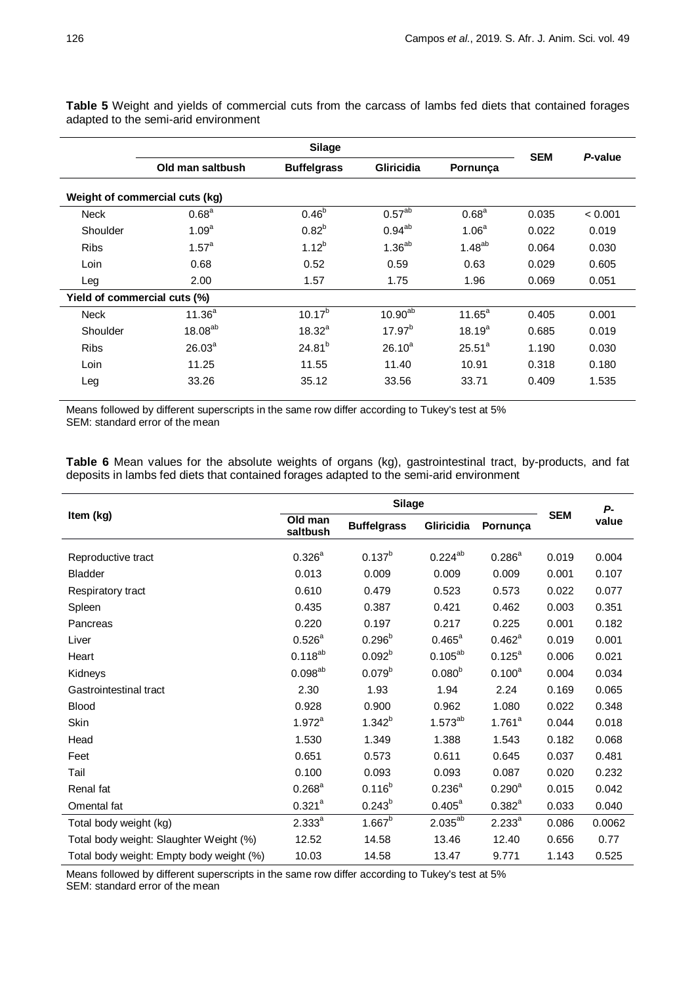| Silage                       |                                |                    |                               |                   | <b>SEM</b> | P-value |  |
|------------------------------|--------------------------------|--------------------|-------------------------------|-------------------|------------|---------|--|
|                              | Old man saltbush               | <b>Buffelgrass</b> | <b>Gliricidia</b><br>Pornunça |                   |            |         |  |
|                              | Weight of commercial cuts (kg) |                    |                               |                   |            |         |  |
| <b>Neck</b>                  | 0.68 <sup>a</sup>              | $0.46^{b}$         | 0.57 <sup>ab</sup>            | 0.68 <sup>a</sup> | 0.035      | < 0.001 |  |
| Shoulder                     | 1.09 <sup>a</sup>              | $0.82^{b}$         | $0.94^{ab}$                   | 1.06 <sup>a</sup> | 0.022      | 0.019   |  |
| <b>Ribs</b>                  | $1.57^{\circ}$                 | $1.12^{b}$         | $1.36^{ab}$                   | $1.48^{ab}$       | 0.064      | 0.030   |  |
| Loin                         | 0.68                           | 0.52               | 0.59                          | 0.63              | 0.029      | 0.605   |  |
| Leg                          | 2.00                           | 1.57               | 1.75                          | 1.96              | 0.069      | 0.051   |  |
| Yield of commercial cuts (%) |                                |                    |                               |                   |            |         |  |
| <b>Neck</b>                  | $11.36^{a}$                    | $10.17^{b}$        | $10.90^{ab}$                  | $11.65^a$         | 0.405      | 0.001   |  |
| Shoulder                     | 18.08 <sup>ab</sup>            | $18.32^{a}$        | $17.97^{b}$                   | $18.19^{a}$       | 0.685      | 0.019   |  |
| <b>Ribs</b>                  | 26.03 <sup>a</sup>             | $24.81^{b}$        | $26.10^{a}$                   | $25.51^a$         | 1.190      | 0.030   |  |
| Loin                         | 11.25                          | 11.55              | 11.40                         | 10.91             | 0.318      | 0.180   |  |
| Leg                          | 33.26                          | 35.12              | 33.56                         | 33.71             | 0.409      | 1.535   |  |

**Table 5** Weight and yields of commercial cuts from the carcass of lambs fed diets that contained forages adapted to the semi-arid environment

Means followed by different superscripts in the same row differ according to Tukey's test at 5% SEM: standard error of the mean

**Table 6** Mean values for the absolute weights of organs (kg), gastrointestinal tract, by-products, and fat deposits in lambs fed diets that contained forages adapted to the semi-arid environment

|                                          | <b>Silage</b>       |                    |                    |                    |            | Р-     |
|------------------------------------------|---------------------|--------------------|--------------------|--------------------|------------|--------|
| Item (kg)                                | Old man<br>saltbush | <b>Buffelgrass</b> | Gliricidia         | Pornunça           | <b>SEM</b> | value  |
| Reproductive tract                       | $0.326^{a}$         | $0.137^{b}$        | $0.224^{ab}$       | $0.286^{a}$        | 0.019      | 0.004  |
| Bladder                                  | 0.013               | 0.009              | 0.009              | 0.009              | 0.001      | 0.107  |
| Respiratory tract                        | 0.610               | 0.479              | 0.523              | 0.573              | 0.022      | 0.077  |
| Spleen                                   | 0.435               | 0.387              | 0.421              | 0.462              | 0.003      | 0.351  |
| Pancreas                                 | 0.220               | 0.197              | 0.217              | 0.225              | 0.001      | 0.182  |
| Liver                                    | $0.526^{a}$         | $0.296^{b}$        | $0.465^{\text{a}}$ | $0.462^a$          | 0.019      | 0.001  |
| Heart                                    | $0.118^{ab}$        | 0.092 <sup>b</sup> | $0.105^{ab}$       | $0.125^{a}$        | 0.006      | 0.021  |
| Kidneys                                  | $0.098^{ab}$        | 0.079 <sup>b</sup> | 0.080 <sup>b</sup> | $0.100^a$          | 0.004      | 0.034  |
| Gastrointestinal tract                   | 2.30                | 1.93               | 1.94               | 2.24               | 0.169      | 0.065  |
| <b>Blood</b>                             | 0.928               | 0.900              | 0.962              | 1.080              | 0.022      | 0.348  |
| Skin                                     | $1.972^a$           | $1.342^{b}$        | $1.573^{ab}$       | $1.761^a$          | 0.044      | 0.018  |
| Head                                     | 1.530               | 1.349              | 1.388              | 1.543              | 0.182      | 0.068  |
| Feet                                     | 0.651               | 0.573              | 0.611              | 0.645              | 0.037      | 0.481  |
| Tail                                     | 0.100               | 0.093              | 0.093              | 0.087              | 0.020      | 0.232  |
| Renal fat                                | $0.268^{\text{a}}$  | $0.116^{b}$        | $0.236^{a}$        | $0.290^{\text{a}}$ | 0.015      | 0.042  |
| Omental fat                              | $0.321^{a}$         | $0.243^{b}$        | $0.405^{\text{a}}$ | $0.382^{a}$        | 0.033      | 0.040  |
| Total body weight (kg)                   | $2.333^{a}$         | $1.667^b$          | $2.035^{ab}$       | $2.233^{a}$        | 0.086      | 0.0062 |
| Total body weight: Slaughter Weight (%)  | 12.52               | 14.58              | 13.46              | 12.40              | 0.656      | 0.77   |
| Total body weight: Empty body weight (%) | 10.03               | 14.58              | 13.47              | 9.771              | 1.143      | 0.525  |

Means followed by different superscripts in the same row differ according to Tukey's test at 5% SEM: standard error of the mean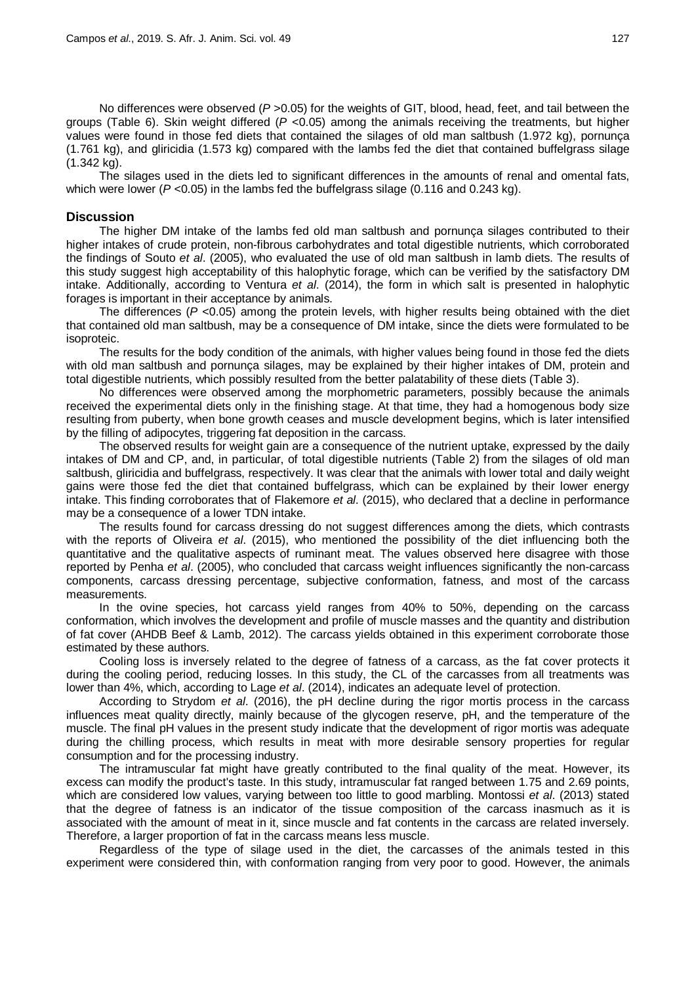No differences were observed (*P* >0.05) for the weights of GIT, blood, head, feet, and tail between the groups (Table 6). Skin weight differed (*P* <0.05) among the animals receiving the treatments, but higher values were found in those fed diets that contained the silages of old man saltbush (1.972 kg), pornunça (1.761 kg), and gliricidia (1.573 kg) compared with the lambs fed the diet that contained buffelgrass silage (1.342 kg).

The silages used in the diets led to significant differences in the amounts of renal and omental fats, which were lower ( $P < 0.05$ ) in the lambs fed the buffelgrass silage (0.116 and 0.243 kg).

#### **Discussion**

The higher DM intake of the lambs fed old man saltbush and pornunça silages contributed to their higher intakes of crude protein, non-fibrous carbohydrates and total digestible nutrients, which corroborated the findings of Souto *et al*. (2005), who evaluated the use of old man saltbush in lamb diets. The results of this study suggest high acceptability of this halophytic forage, which can be verified by the satisfactory DM intake. Additionally, according to Ventura *et al*. (2014), the form in which salt is presented in halophytic forages is important in their acceptance by animals.

The differences (*P* <0.05) among the protein levels, with higher results being obtained with the diet that contained old man saltbush, may be a consequence of DM intake, since the diets were formulated to be isoproteic.

The results for the body condition of the animals, with higher values being found in those fed the diets with old man saltbush and pornunça silages, may be explained by their higher intakes of DM, protein and total digestible nutrients, which possibly resulted from the better palatability of these diets (Table 3).

No differences were observed among the morphometric parameters, possibly because the animals received the experimental diets only in the finishing stage. At that time, they had a homogenous body size resulting from puberty, when bone growth ceases and muscle development begins, which is later intensified by the filling of adipocytes, triggering fat deposition in the carcass.

The observed results for weight gain are a consequence of the nutrient uptake, expressed by the daily intakes of DM and CP, and, in particular, of total digestible nutrients (Table 2) from the silages of old man saltbush, gliricidia and buffelgrass, respectively. It was clear that the animals with lower total and daily weight gains were those fed the diet that contained buffelgrass, which can be explained by their lower energy intake. This finding corroborates that of Flakemore *et al*. (2015), who declared that a decline in performance may be a consequence of a lower TDN intake.

The results found for carcass dressing do not suggest differences among the diets, which contrasts with the reports of Oliveira *et al*. (2015), who mentioned the possibility of the diet influencing both the quantitative and the qualitative aspects of ruminant meat. The values observed here disagree with those reported by Penha *et al*. (2005), who concluded that carcass weight influences significantly the non-carcass components, carcass dressing percentage, subjective conformation, fatness, and most of the carcass measurements.

In the ovine species, hot carcass yield ranges from 40% to 50%, depending on the carcass conformation, which involves the development and profile of muscle masses and the quantity and distribution of fat cover (AHDB Beef & Lamb, 2012). The carcass yields obtained in this experiment corroborate those estimated by these authors.

Cooling loss is inversely related to the degree of fatness of a carcass, as the fat cover protects it during the cooling period, reducing losses. In this study, the CL of the carcasses from all treatments was lower than 4%, which, according to Lage *et al*. (2014), indicates an adequate level of protection.

According to Strydom *et al*. (2016), the pH decline during the rigor mortis process in the carcass influences meat quality directly, mainly because of the glycogen reserve, pH, and the temperature of the muscle. The final pH values in the present study indicate that the development of rigor mortis was adequate during the chilling process, which results in meat with more desirable sensory properties for regular consumption and for the processing industry.

The intramuscular fat might have greatly contributed to the final quality of the meat. However, its excess can modify the product's taste. In this study, intramuscular fat ranged between 1.75 and 2.69 points, which are considered low values, varying between too little to good marbling. Montossi *et al*. (2013) stated that the degree of fatness is an indicator of the tissue composition of the carcass inasmuch as it is associated with the amount of meat in it, since muscle and fat contents in the carcass are related inversely. Therefore, a larger proportion of fat in the carcass means less muscle.

Regardless of the type of silage used in the diet, the carcasses of the animals tested in this experiment were considered thin, with conformation ranging from very poor to good. However, the animals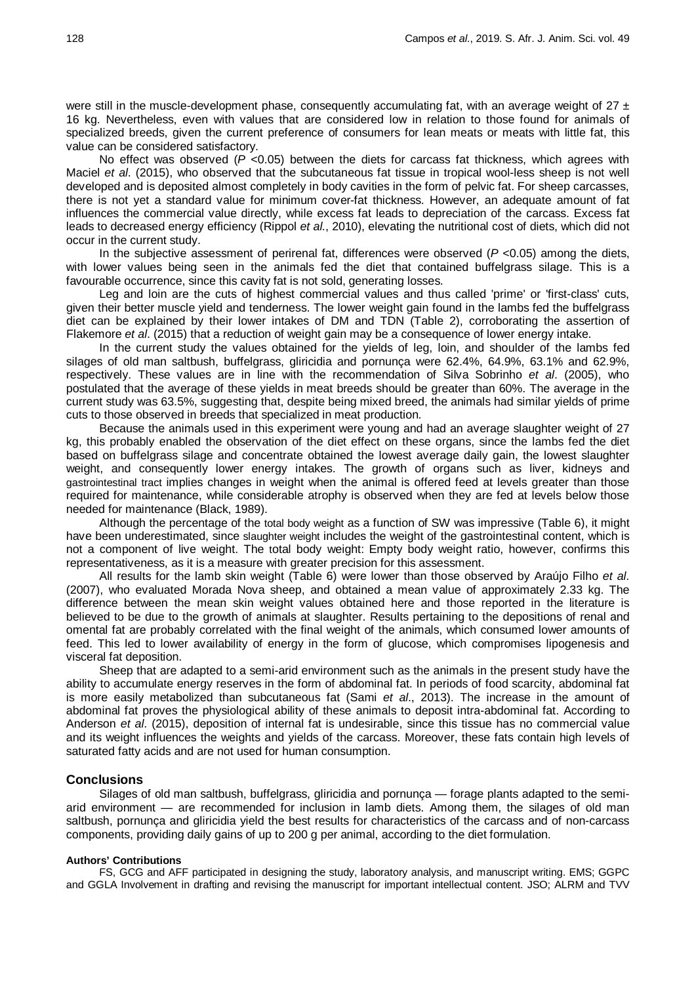were still in the muscle-development phase, consequently accumulating fat, with an average weight of  $27 \pm$ 16 kg. Nevertheless, even with values that are considered low in relation to those found for animals of specialized breeds, given the current preference of consumers for lean meats or meats with little fat, this value can be considered satisfactory.

No effect was observed (*P* <0.05) between the diets for carcass fat thickness, which agrees with Maciel *et al*. (2015), who observed that the subcutaneous fat tissue in tropical wool-less sheep is not well developed and is deposited almost completely in body cavities in the form of pelvic fat. For sheep carcasses, there is not yet a standard value for minimum cover-fat thickness. However, an adequate amount of fat influences the commercial value directly, while excess fat leads to depreciation of the carcass. Excess fat leads to decreased energy efficiency (Rippol *et al*., 2010), elevating the nutritional cost of diets, which did not occur in the current study.

In the subjective assessment of perirenal fat, differences were observed (*P* <0.05) among the diets, with lower values being seen in the animals fed the diet that contained buffelgrass silage. This is a favourable occurrence, since this cavity fat is not sold, generating losses.

Leg and loin are the cuts of highest commercial values and thus called 'prime' or 'first-class' cuts, given their better muscle yield and tenderness. The lower weight gain found in the lambs fed the buffelgrass diet can be explained by their lower intakes of DM and TDN (Table 2), corroborating the assertion of Flakemore *et al*. (2015) that a reduction of weight gain may be a consequence of lower energy intake.

In the current study the values obtained for the yields of leg, loin, and shoulder of the lambs fed silages of old man saltbush, buffelgrass, gliricidia and pornunça were 62.4%, 64.9%, 63.1% and 62.9%, respectively. These values are in line with the recommendation of Silva Sobrinho *et al*. (2005), who postulated that the average of these yields in meat breeds should be greater than 60%. The average in the current study was 63.5%, suggesting that, despite being mixed breed, the animals had similar yields of prime cuts to those observed in breeds that specialized in meat production.

Because the animals used in this experiment were young and had an average slaughter weight of 27 kg, this probably enabled the observation of the diet effect on these organs, since the lambs fed the diet based on buffelgrass silage and concentrate obtained the lowest average daily gain, the lowest slaughter weight, and consequently lower energy intakes. The growth of organs such as liver, kidneys and gastrointestinal tract implies changes in weight when the animal is offered feed at levels greater than those required for maintenance, while considerable atrophy is observed when they are fed at levels below those needed for maintenance (Black, 1989).

Although the percentage of the total body weight as a function of SW was impressive (Table 6), it might have been underestimated, since slaughter weight includes the weight of the gastrointestinal content, which is not a component of live weight. The total body weight: Empty body weight ratio, however, confirms this representativeness, as it is a measure with greater precision for this assessment.

All results for the lamb skin weight (Table 6) were lower than those observed by Araújo Filho *et al*. (2007), who evaluated Morada Nova sheep, and obtained a mean value of approximately 2.33 kg. The difference between the mean skin weight values obtained here and those reported in the literature is believed to be due to the growth of animals at slaughter. Results pertaining to the depositions of renal and omental fat are probably correlated with the final weight of the animals, which consumed lower amounts of feed. This led to lower availability of energy in the form of glucose, which compromises lipogenesis and visceral fat deposition.

Sheep that are adapted to a semi-arid environment such as the animals in the present study have the ability to accumulate energy reserves in the form of abdominal fat. In periods of food scarcity, abdominal fat is more easily metabolized than subcutaneous fat (Sami *et al*., 2013). The increase in the amount of abdominal fat proves the physiological ability of these animals to deposit intra-abdominal fat. According to Anderson *et al*. (2015), deposition of internal fat is undesirable, since this tissue has no commercial value and its weight influences the weights and yields of the carcass. Moreover, these fats contain high levels of saturated fatty acids and are not used for human consumption.

## **Conclusions**

Silages of old man saltbush, buffelgrass, gliricidia and pornunça — forage plants adapted to the semiarid environment — are recommended for inclusion in lamb diets. Among them, the silages of old man saltbush, pornunça and gliricidia yield the best results for characteristics of the carcass and of non-carcass components, providing daily gains of up to 200 g per animal, according to the diet formulation.

#### **Authors' Contributions**

FS, GCG and AFF participated in designing the study, laboratory analysis, and manuscript writing. EMS; GGPC and GGLA Involvement in drafting and revising the manuscript for important intellectual content. JSO; ALRM and TVV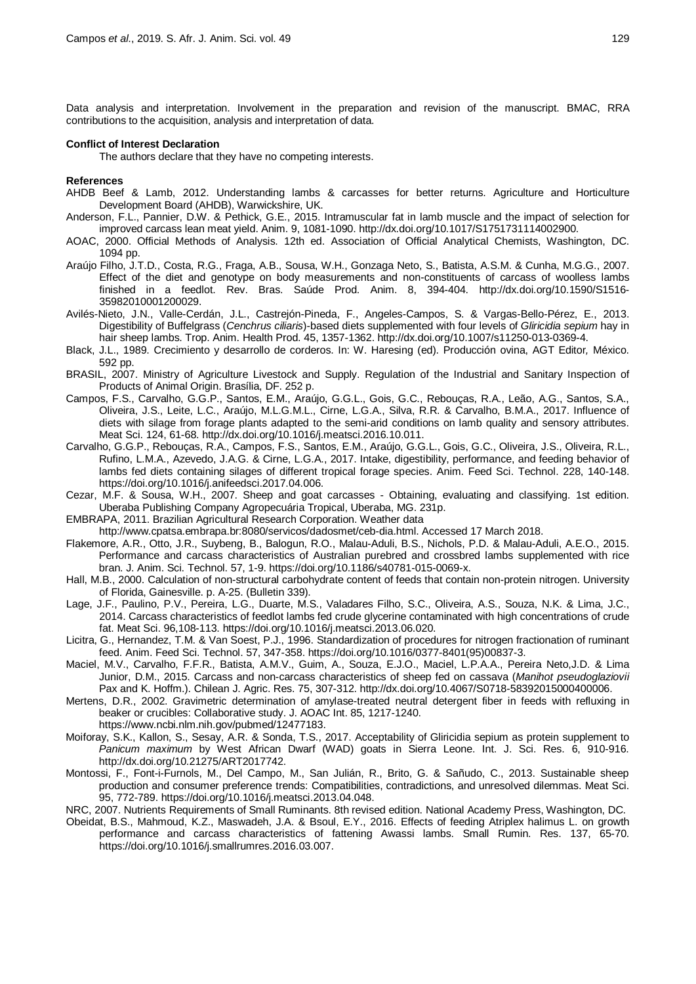Data analysis and interpretation. Involvement in the preparation and revision of the manuscript. BMAC, RRA contributions to the acquisition, analysis and interpretation of data.

#### **Conflict of Interest Declaration**

The authors declare that they have no competing interests.

#### **References**

- AHDB Beef & Lamb, 2012. Understanding lambs & carcasses for better returns. Agriculture and Horticulture Development Board (AHDB), Warwickshire, UK.
- Anderson, F.L., Pannier, D.W. & Pethick, G.E., 2015. Intramuscular fat in lamb muscle and the impact of selection for improved carcass lean meat yield. Anim. 9, 1081-1090. http://dx.doi.org/10.1017/S1751731114002900.
- AOAC, 2000. Official Methods of Analysis. 12th ed. Association of Official Analytical Chemists, Washington, DC. 1094 pp.
- Araújo Filho, J.T.D., Costa, R.G., Fraga, A.B., Sousa, W.H., Gonzaga Neto, S., Batista, A.S.M. & Cunha, M.G.G., 2007. Effect of the diet and genotype on body measurements and non-constituents of carcass of woolless lambs finished in a feedlot. Rev. Bras. Saúde Prod. Anim. 8, 394-404. http://dx.doi.org/10.1590/S1516- 35982010001200029.
- Avilés-Nieto, J.N., Valle-Cerdán, J.L., Castrejón-Pineda, F., Angeles-Campos, S. & Vargas-Bello-Pérez, E., 2013. Digestibility of Buffelgrass (*Cenchrus ciliaris*)-based diets supplemented with four levels of *Gliricidia sepium* hay in hair sheep lambs. Trop. Anim. Health Prod. 45, 1357-1362. http://dx.doi.org/10.1007/s11250-013-0369-4.
- Black, J.L., 1989. Crecimiento y desarrollo de corderos. In: W. Haresing (ed). Producción ovina, AGT Editor*,* México. 592 pp.
- BRASIL, 2007. Ministry of Agriculture Livestock and Supply. Regulation of the Industrial and Sanitary Inspection of Products of Animal Origin. Brasília, DF. 252 p.
- Campos, F.S., Carvalho, G.G.P., Santos, E.M., Araújo, G.G.L., Gois, G.C., Rebouças, R.A., Leão, A.G., Santos, S.A., Oliveira, J.S., Leite, L.C., Araújo, M.L.G.M.L., Cirne, L.G.A., Silva, R.R. & Carvalho, B.M.A., 2017. Influence of diets with silage from forage plants adapted to the semi-arid conditions on lamb quality and sensory attributes. Meat Sci. 124, 61-68. http://dx.doi.org/10.1016/j.meatsci.2016.10.011.
- Carvalho, G.G.P., Rebouças, R.A., Campos, F.S., Santos, E.M., Araújo, G.G.L., Gois, G.C., Oliveira, J.S., Oliveira, R.L., Rufino, L.M.A., Azevedo, J.A.G. & Cirne, L.G.A., 2017. Intake, digestibility, performance, and feeding behavior of lambs fed diets containing silages of different tropical forage species. Anim. Feed Sci. Technol. 228, 140-148. [https://doi.org/10.1016/j.anifeedsci.2017.04.006.](https://doi.org/10.1016/j.anifeedsci.2017.04.006)
- Cezar, M.F. & Sousa, W.H., 2007. Sheep and goat carcasses Obtaining, evaluating and classifying. 1st edition. Uberaba Publishing Company Agropecuária Tropical, Uberaba, MG. 231p.
- EMBRAPA, 2011. Brazilian Agricultural Research Corporation. Weather data

[http://www.cpatsa.embrapa.br:8080/servicos/dadosmet/ceb-dia.html.](http://www.cpatsa.embrapa.br:8080/servicos/dadosmet/ceb-dia.html) Accessed 17 March 2018.

- Flakemore, A.R., Otto, J.R., Suybeng, B., Balogun, R.O., Malau-Aduli, B.S., Nichols, P.D. & Malau-Aduli, A.E.O., 2015. Performance and carcass characteristics of Australian purebred and crossbred lambs supplemented with rice bran. J. Anim. Sci. Technol. 57, 1-9. https://doi.org/10.1186/s40781-015-0069-x.
- Hall, M.B., 2000. Calculation of non-structural carbohydrate content of feeds that contain non-protein nitrogen. University of Florida, Gainesville. p. A-25. (Bulletin 339).
- Lage, J.F., Paulino, P.V., Pereira, L.G., Duarte, M.S., Valadares Filho, S.C., Oliveira, A.S., Souza, N.K. & Lima, J.C., 2014. Carcass characteristics of feedlot lambs fed crude glycerine contaminated with high concentrations of crude fat. Meat Sci. 96,108-113. https://doi.org/10.1016/j.meatsci.2013.06.020.
- Licitra, G., Hernandez, T.M. & Van Soest, P.J., 1996. Standardization of procedures for nitrogen fractionation of ruminant feed. Anim. Feed Sci. Technol. 57, 347-358. https://doi.org/10.1016/0377-8401(95)00837-3.
- Maciel, M.V., Carvalho, F.F.R., Batista, A.M.V., Guim, A., Souza, E.J.O., Maciel, L.P.A.A., Pereira Neto,J.D. & Lima Junior, D.M., 2015. Carcass and non-carcass characteristics of sheep fed on cassava (*Manihot pseudoglaziovii* Pax and K. Hoffm.). Chilean J. Agric. Res. 75, 307-312. http://dx.doi.org/10.4067/S0718-58392015000400006.
- Mertens, D.R., 2002. Gravimetric determination of amylase-treated neutral detergent fiber in feeds with refluxing in beaker or crucibles: Collaborative study. J. AOAC Int. 85, 1217-1240. https://www.ncbi.nlm.nih.gov/pubmed/12477183.
- Moiforay, S.K., Kallon, S., Sesay, A.R. & Sonda, T.S., 2017. Acceptability of Gliricidia sepium as protein supplement to *Panicum maximum* by West African Dwarf (WAD) goats in Sierra Leone. Int. J. Sci. Res. 6, 910-916. http://dx.doi.org/10.21275/ART2017742.
- Montossi, F., Font-i-Furnols, M., Del Campo, M., San Julián, R., Brito, G. & Sañudo, C., 2013. Sustainable sheep production and consumer preference trends: Compatibilities, contradictions, and unresolved dilemmas. Meat Sci. 95, 772-789. https://doi.org/10.1016/j.meatsci.2013.04.048.
- NRC, 2007. Nutrients Requirements of Small Ruminants. 8th revised edition. National Academy Press, Washington, DC.
- Obeidat, B.S., Mahmoud, K.Z., Maswadeh, J.A. & Bsoul, E.Y., 2016. Effects of feeding Atriplex halimus L. on growth performance and carcass characteristics of fattening Awassi lambs. Small Rumin. Res. 137, 65-70. https://doi.org/10.1016/j.smallrumres.2016.03.007.